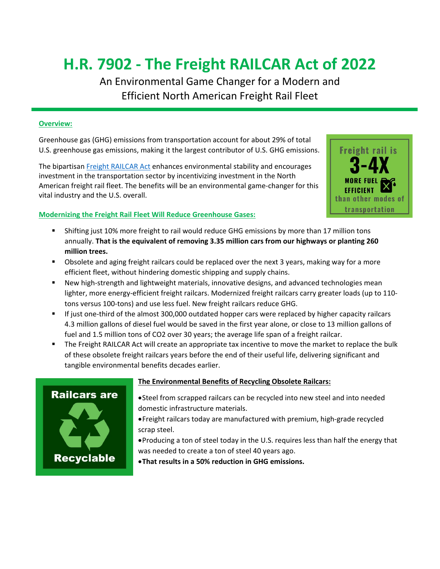# **H.R. 7902 - The Freight RAILCAR Act of 2022**

An Environmental Game Changer for a Modern and Efficient North American Freight Rail Fleet

#### **Overview:**

Greenhouse gas (GHG) emissions from transportation account for about 29% of total U.S. greenhouse gas emissions, making it the largest contributor of U.S. GHG emissions.

The bipartisan [Freight RAILCAR Act](https://railsecurity.org/freight-railcar-act/) enhances environmental stability and encourages investment in the transportation sector by incentivizing investment in the North American freight rail fleet. The benefits will be an environmental game-changer for this vital industry and the U.S. overall.



#### **Modernizing the Freight Rail Fleet Will Reduce Greenhouse Gases:**

- Shifting just 10% more freight to rail would reduce GHG emissions by more than 17 million tons annually. **That is the equivalent of removing 3.35 million cars from our highways or planting 260 million trees.**
- Obsolete and aging freight railcars could be replaced over the next 3 years, making way for a more efficient fleet, without hindering domestic shipping and supply chains.
- New high-strength and lightweight materials, innovative designs, and advanced technologies mean lighter, more energy-efficient freight railcars. Modernized freight railcars carry greater loads (up to 110 tons versus 100-tons) and use less fuel. New freight railcars reduce GHG.
- If just one-third of the almost 300,000 outdated hopper cars were replaced by higher capacity railcars 4.3 million gallons of diesel fuel would be saved in the first year alone, or close to 13 million gallons of fuel and 1.5 million tons of CO2 over 30 years; the average life span of a freight railcar.
- The Freight RAILCAR Act will create an appropriate tax incentive to move the market to replace the bulk of these obsolete freight railcars years before the end of their useful life, delivering significant and tangible environmental benefits decades earlier.



#### **The Environmental Benefits of Recycling Obsolete Railcars:**

- •Steel from scrapped railcars can be recycled into new steel and into needed domestic infrastructure materials.
- •Freight railcars today are manufactured with premium, high-grade recycled scrap steel.
- •Producing a ton of steel today in the U.S. requires less than half the energy that was needed to create a ton of steel 40 years ago.
- •**That results in a 50% reduction in GHG emissions.**